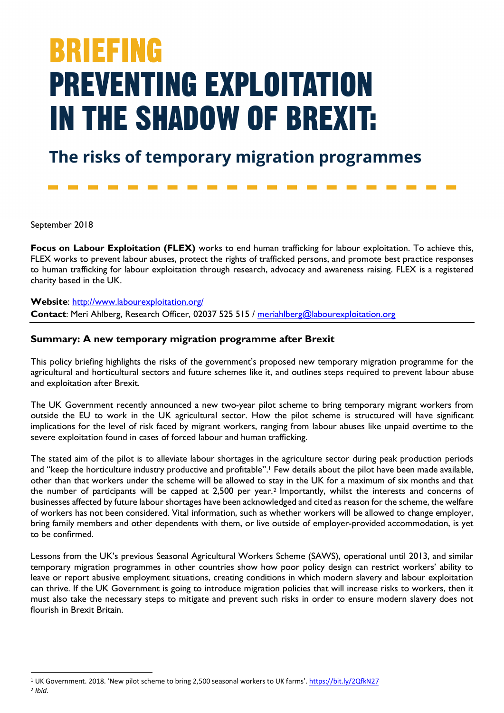# **BRIEFING PREVENTING EXPLOITATION IN THE SHADOW OF BREXIT:**

## The risks of temporary migration programmes

September 2018

**Focus on Labour Exploitation (FLEX)** works to end human trafficking for labour exploitation. To achieve this, FLEX works to prevent labour abuses, protect the rights of trafficked persons, and promote best practice responses to human trafficking for labour exploitation through research, advocacy and awareness raising. FLEX is a registered charity based in the UK.

**Website**: http://www.labourexploitation.org/ **Contact**: Meri Ahlberg, Research Officer, 02037 525 515 / meriahlberg@labourexploitation.org

#### **Summary: A new temporary migration programme after Brexit**

This policy briefing highlights the risks of the government's proposed new temporary migration programme for the agricultural and horticultural sectors and future schemes like it, and outlines steps required to prevent labour abuse and exploitation after Brexit.

The UK Government recently announced a new two-year pilot scheme to bring temporary migrant workers from outside the EU to work in the UK agricultural sector. How the pilot scheme is structured will have significant implications for the level of risk faced by migrant workers, ranging from labour abuses like unpaid overtime to the severe exploitation found in cases of forced labour and human trafficking.

The stated aim of the pilot is to alleviate labour shortages in the agriculture sector during peak production periods and "keep the horticulture industry productive and profitable".<sup>1</sup> Few details about the pilot have been made available, other than that workers under the scheme will be allowed to stay in the UK for a maximum of six months and that the number of participants will be capped at 2,500 per year.2 Importantly, whilst the interests and concerns of businesses affected by future labour shortages have been acknowledged and cited as reason for the scheme, the welfare of workers has not been considered. Vital information, such as whether workers will be allowed to change employer, bring family members and other dependents with them, or live outside of employer-provided accommodation, is yet to be confirmed.

Lessons from the UK's previous Seasonal Agricultural Workers Scheme (SAWS), operational until 2013, and similar temporary migration programmes in other countries show how poor policy design can restrict workers' ability to leave or report abusive employment situations, creating conditions in which modern slavery and labour exploitation can thrive. If the UK Government is going to introduce migration policies that will increase risks to workers, then it must also take the necessary steps to mitigate and prevent such risks in order to ensure modern slavery does not flourish in Brexit Britain.

<sup>&</sup>lt;sup>1</sup> UK Government. 2018. 'New pilot scheme to bring 2,500 seasonal workers to UK farms'. https://bit.ly/2QfkN27

<sup>2</sup> *Ibid*.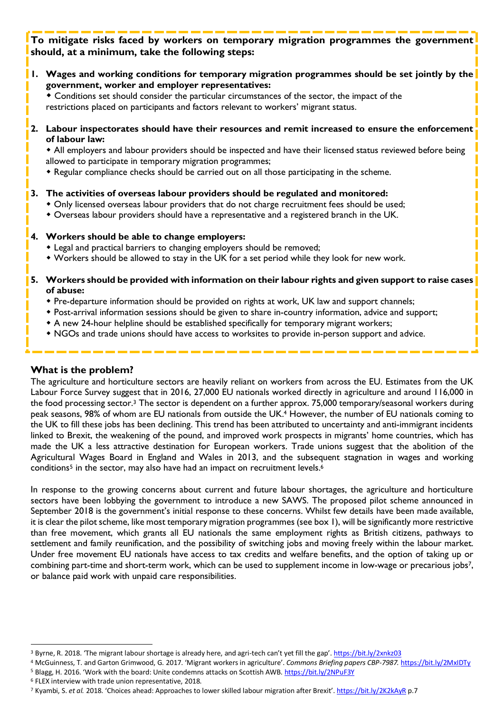### **To mitigate risks faced by workers on temporary migration programmes the government should, at a minimum, take the following steps:**

**1. Wages and working conditions for temporary migration programmes should be set jointly by the government, worker and employer representatives:**

• Conditions set should consider the particular circumstances of the sector, the impact of the restrictions placed on participants and factors relevant to workers' migrant status.

**2. Labour inspectorates should have their resources and remit increased to ensure the enforcement of labour law:**

• All employers and labour providers should be inspected and have their licensed status reviewed before being allowed to participate in temporary migration programmes;

• Regular compliance checks should be carried out on all those participating in the scheme.

#### **3. The activities of overseas labour providers should be regulated and monitored:**

- Only licensed overseas labour providers that do not charge recruitment fees should be used;
- \* Overseas labour providers should have a representative and a registered branch in the UK.

#### **4. Workers should be able to change employers:**

- Legal and practical barriers to changing employers should be removed;
- \* Workers should be allowed to stay in the UK for a set period while they look for new work.

#### **5. Workers should be provided with information on their labour rights and given support to raise cases of abuse:**

- Pre-departure information should be provided on rights at work, UK law and support channels;
- \* Post-arrival information sessions should be given to share in-country information, advice and support;
- \* A new 24-hour helpline should be established specifically for temporary migrant workers;
- NGOs and trade unions should have access to worksites to provide in-person support and advice.

#### **What is the problem?**

The agriculture and horticulture sectors are heavily reliant on workers from across the EU. Estimates from the UK Labour Force Survey suggest that in 2016, 27,000 EU nationals worked directly in agriculture and around 116,000 in the food processing sector.3 The sector is dependent on a further approx. 75,000 temporary/seasonal workers during peak seasons, 98% of whom are EU nationals from outside the UK.4 However, the number of EU nationals coming to the UK to fill these jobs has been declining. This trend has been attributed to uncertainty and anti-immigrant incidents linked to Brexit, the weakening of the pound, and improved work prospects in migrants' home countries, which has made the UK a less attractive destination for European workers. Trade unions suggest that the abolition of the Agricultural Wages Board in England and Wales in 2013, and the subsequent stagnation in wages and working conditions<sup>5</sup> in the sector, may also have had an impact on recruitment levels.<sup>6</sup>

In response to the growing concerns about current and future labour shortages, the agriculture and horticulture sectors have been lobbying the government to introduce a new SAWS. The proposed pilot scheme announced in September 2018 is the government's initial response to these concerns. Whilst few details have been made available, it is clear the pilot scheme, like most temporary migration programmes (see box 1), will be significantly more restrictive than free movement, which grants all EU nationals the same employment rights as British citizens, pathways to settlement and family reunification, and the possibility of switching jobs and moving freely within the labour market. Under free movement EU nationals have access to tax credits and welfare benefits, and the option of taking up or combining part-time and short-term work, which can be used to supplement income in low-wage or precarious jobs7, or balance paid work with unpaid care responsibilities.

<sup>6</sup> FLEX interview with trade union representative, 2018.

<sup>&</sup>lt;sup>3</sup> Byrne, R. 2018. 'The migrant labour shortage is already here, and agri-tech can't yet fill the gap'. https://bit.ly/2xnkz03

<sup>4</sup> McGuinness, T. and Garton Grimwood, G. 2017. 'Migrant workers in agriculture'. *Commons Briefing papers CBP-7987.* https://bit.ly/2MxIDTy <sup>5</sup> Blagg, H. 2016. 'Work with the board: Unite condemns attacks on Scottish AWB. https://bit.ly/2NPuF3Y

<sup>7</sup> Kyambi, S. *et al.* 2018. 'Choices ahead: Approaches to lower skilled labour migration after Brexit'. https://bit.ly/2K2kAyR p.7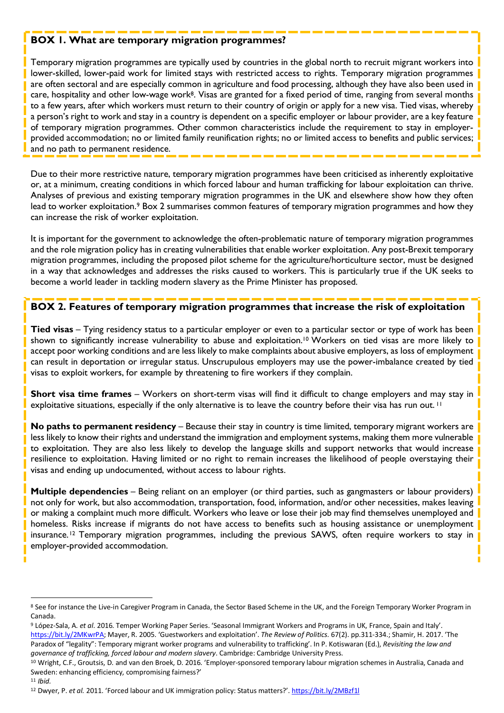#### **BOX 1. What are temporary migration programmes?**

Temporary migration programmes are typically used by countries in the global north to recruit migrant workers into lower-skilled, lower-paid work for limited stays with restricted access to rights. Temporary migration programmes are often sectoral and are especially common in agriculture and food processing, although they have also been used in care, hospitality and other low-wage work8. Visas are granted for a fixed period of time, ranging from several months to a few years, after which workers must return to their country of origin or apply for a new visa. Tied visas, whereby a person's right to work and stay in a country is dependent on a specific employer or labour provider, are a key feature of temporary migration programmes. Other common characteristics include the requirement to stay in employerprovided accommodation; no or limited family reunification rights; no or limited access to benefits and public services; and no path to permanent residence.

Due to their more restrictive nature, temporary migration programmes have been criticised as inherently exploitative or, at a minimum, creating conditions in which forced labour and human trafficking for labour exploitation can thrive. Analyses of previous and existing temporary migration programmes in the UK and elsewhere show how they often lead to worker exploitation.<sup>9</sup> Box 2 summarises common features of temporary migration programmes and how they can increase the risk of worker exploitation.

It is important for the government to acknowledge the often-problematic nature of temporary migration programmes and the role migration policy has in creating vulnerabilities that enable worker exploitation. Any post-Brexit temporary migration programmes, including the proposed pilot scheme for the agriculture/horticulture sector, must be designed in a way that acknowledges and addresses the risks caused to workers. This is particularly true if the UK seeks to become a world leader in tackling modern slavery as the Prime Minister has proposed.

#### **BOX 2. Features of temporary migration programmes that increase the risk of exploitation**

**Tied visas** – Tying residency status to a particular employer or even to a particular sector or type of work has been shown to significantly increase vulnerability to abuse and exploitation.<sup>10</sup> Workers on tied visas are more likely to accept poor working conditions and are less likely to make complaints about abusive employers, as loss of employment can result in deportation or irregular status. Unscrupulous employers may use the power-imbalance created by tied visas to exploit workers, for example by threatening to fire workers if they complain.

**Short visa time frames** – Workers on short-term visas will find it difficult to change employers and may stay in exploitative situations, especially if the only alternative is to leave the country before their visa has run out.<sup>11</sup>

**No paths to permanent residency** – Because their stay in country is time limited, temporary migrant workers are less likely to know their rights and understand the immigration and employment systems, making them more vulnerable to exploitation. They are also less likely to develop the language skills and support networks that would increase resilience to exploitation. Having limited or no right to remain increases the likelihood of people overstaying their visas and ending up undocumented, without access to labour rights.

**Multiple dependencies** – Being reliant on an employer (or third parties, such as gangmasters or labour providers) not only for work, but also accommodation, transportation, food, information, and/or other necessities, makes leaving or making a complaint much more difficult. Workers who leave or lose their job may find themselves unemployed and homeless. Risks increase if migrants do not have access to benefits such as housing assistance or unemployment insurance.12 Temporary migration programmes, including the previous SAWS, often require workers to stay in employer-provided accommodation.

<sup>11</sup> *Ibid.*

<sup>8</sup> See for instance the Live-in Caregiver Program in Canada, the Sector Based Scheme in the UK, and the Foreign Temporary Worker Program in Canada.

<sup>9</sup> López-Sala, A. *et al*. 2016. Temper Working Paper Series. 'Seasonal Immigrant Workers and Programs in UK, France, Spain and Italy'. https://bit.ly/2MKwrPA; Mayer, R. 2005. 'Guestworkers and exploitation'. *The Review of Politics.* 67(2). pp.311-334.; Shamir, H. 2017. 'The Paradox of "legality": Temporary migrant worker programs and vulnerability to trafficking'. In P. Kotiswaran (Ed.), *Revisiting the law and governance of trafficking, forced labour and modern slavery*. Cambridge: Cambridge University Press.

<sup>&</sup>lt;sup>10</sup> Wright, C.F., Groutsis, D. and van den Broek, D. 2016. 'Employer-sponsored temporary labour migration schemes in Australia, Canada and Sweden: enhancing efficiency, compromising fairness?'

<sup>12</sup> Dwyer, P. *et al.* 2011. 'Forced labour and UK immigration policy: Status matters?'. https://bit.ly/2MBzf1l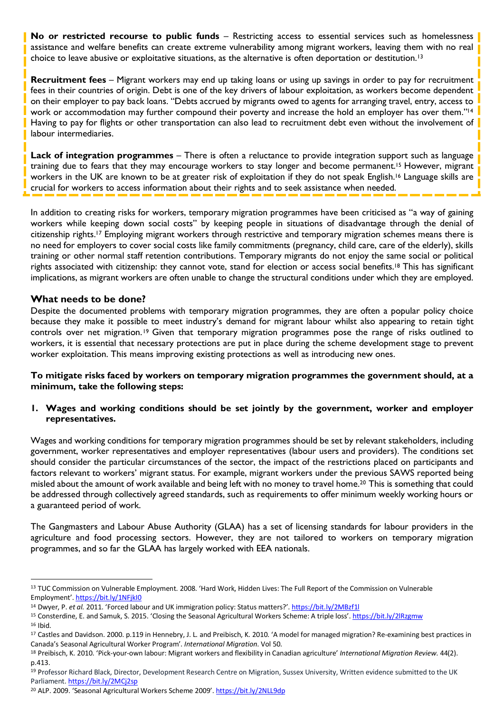**No or restricted recourse to public funds** – Restricting access to essential services such as homelessness assistance and welfare benefits can create extreme vulnerability among migrant workers, leaving them with no real choice to leave abusive or exploitative situations, as the alternative is often deportation or destitution.13

**Recruitment fees** – Migrant workers may end up taking loans or using up savings in order to pay for recruitment fees in their countries of origin. Debt is one of the key drivers of labour exploitation, as workers become dependent on their employer to pay back loans. "Debts accrued by migrants owed to agents for arranging travel, entry, access to work or accommodation may further compound their poverty and increase the hold an employer has over them."14 Having to pay for flights or other transportation can also lead to recruitment debt even without the involvement of labour intermediaries.

**Lack of integration programmes** – There is often a reluctance to provide integration support such as language training due to fears that they may encourage workers to stay longer and become permanent.15 However, migrant workers in the UK are known to be at greater risk of exploitation if they do not speak English.16 Language skills are crucial for workers to access information about their rights and to seek assistance when needed.

In addition to creating risks for workers, temporary migration programmes have been criticised as "a way of gaining workers while keeping down social costs" by keeping people in situations of disadvantage through the denial of citizenship rights.17 Employing migrant workers through restrictive and temporary migration schemes means there is no need for employers to cover social costs like family commitments (pregnancy, child care, care of the elderly), skills training or other normal staff retention contributions. Temporary migrants do not enjoy the same social or political rights associated with citizenship: they cannot vote, stand for election or access social benefits.18 This has significant implications, as migrant workers are often unable to change the structural conditions under which they are employed.

#### **What needs to be done?**

 

Despite the documented problems with temporary migration programmes, they are often a popular policy choice because they make it possible to meet industry's demand for migrant labour whilst also appearing to retain tight controls over net migration.19 Given that temporary migration programmes pose the range of risks outlined to workers, it is essential that necessary protections are put in place during the scheme development stage to prevent worker exploitation. This means improving existing protections as well as introducing new ones.

**To mitigate risks faced by workers on temporary migration programmes the government should, at a minimum, take the following steps:**

**1. Wages and working conditions should be set jointly by the government, worker and employer representatives.** 

Wages and working conditions for temporary migration programmes should be set by relevant stakeholders, including government, worker representatives and employer representatives (labour users and providers). The conditions set should consider the particular circumstances of the sector, the impact of the restrictions placed on participants and factors relevant to workers' migrant status. For example, migrant workers under the previous SAWS reported being misled about the amount of work available and being left with no money to travel home.20 This is something that could be addressed through collectively agreed standards, such as requirements to offer minimum weekly working hours or a guaranteed period of work.

The Gangmasters and Labour Abuse Authority (GLAA) has a set of licensing standards for labour providers in the agriculture and food processing sectors. However, they are not tailored to workers on temporary migration programmes, and so far the GLAA has largely worked with EEA nationals.

<sup>13</sup> TUC Commission on Vulnerable Employment. 2008. 'Hard Work, Hidden Lives: The Full Report of the Commission on Vulnerable Employment'. https://bit.ly/1NFjkI0

<sup>14</sup> Dwyer, P. *et al.* 2011. 'Forced labour and UK immigration policy: Status matters?'. https://bit.ly/2MBzf1l

<sup>&</sup>lt;sup>15</sup> Consterdine, E. and Samuk, S. 2015. 'Closing the Seasonal Agricultural Workers Scheme: A triple loss'. https://bit.ly/2lRzgmw <sup>16</sup> Ibid.

<sup>&</sup>lt;sup>17</sup> Castles and Davidson. 2000. p.119 in Hennebry, J. L. and Preibisch, K. 2010. 'A model for managed migration? Re-examining best practices in

Canada's Seasonal Agricultural Worker Program'. International Migration. Vol 50.<br><sup>18</sup> Preibisch, K. 2010. 'Pick-your-own labour: Migrant workers and flexibility in Canadian agriculture' International Migration Review. 44(2 p.413.

<sup>19</sup> Professor Richard Black, Director, Development Research Centre on Migration, Sussex University, Written evidence submitted to the UK Parliament. https://bit.ly/2MCj2sp

<sup>20</sup> ALP. 2009. 'Seasonal Agricultural Workers Scheme 2009'. https://bit.ly/2NLL9dp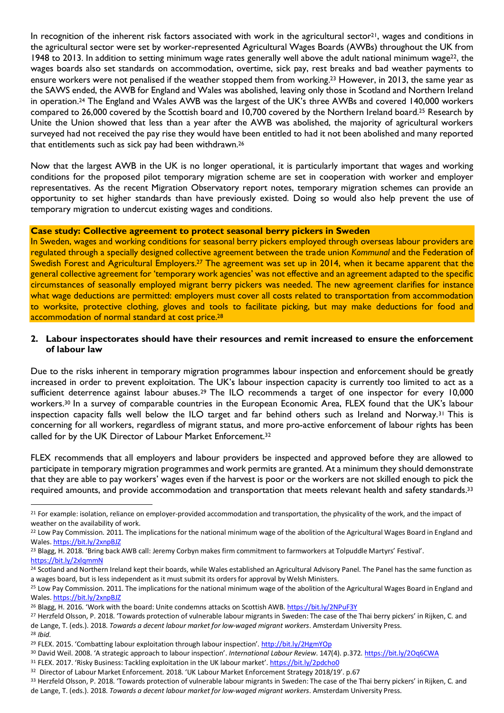In recognition of the inherent risk factors associated with work in the agricultural sector<sup>21</sup>, wages and conditions in the agricultural sector were set by worker-represented Agricultural Wages Boards (AWBs) throughout the UK from 1948 to 2013. In addition to setting minimum wage rates generally well above the adult national minimum wage<sup>22</sup>, the wages boards also set standards on accommodation, overtime, sick pay, rest breaks and bad weather payments to ensure workers were not penalised if the weather stopped them from working.23 However, in 2013, the same year as the SAWS ended, the AWB for England and Wales was abolished, leaving only those in Scotland and Northern Ireland in operation.24 The England and Wales AWB was the largest of the UK's three AWBs and covered 140,000 workers compared to 26,000 covered by the Scottish board and 10,700 covered by the Northern Ireland board.25 Research by Unite the Union showed that less than a year after the AWB was abolished, the majority of agricultural workers surveyed had not received the pay rise they would have been entitled to had it not been abolished and many reported that entitlements such as sick pay had been withdrawn.26

Now that the largest AWB in the UK is no longer operational, it is particularly important that wages and working conditions for the proposed pilot temporary migration scheme are set in cooperation with worker and employer representatives. As the recent Migration Observatory report notes, temporary migration schemes can provide an opportunity to set higher standards than have previously existed. Doing so would also help prevent the use of temporary migration to undercut existing wages and conditions.

#### **Case study: Collective agreement to protect seasonal berry pickers in Sweden**

In Sweden, wages and working conditions for seasonal berry pickers employed through overseas labour providers are regulated through a specially designed collective agreement between the trade union *Kommunal* and the Federation of Swedish Forest and Agricultural Employers.27 The agreement was set up in 2014, when it became apparent that the general collective agreement for 'temporary work agencies' was not effective and an agreement adapted to the specific circumstances of seasonally employed migrant berry pickers was needed. The new agreement clarifies for instance what wage deductions are permitted: employers must cover all costs related to transportation from accommodation to worksite, protective clothing, gloves and tools to facilitate picking, but may make deductions for food and accommodation of normal standard at cost price.<sup>28</sup>

#### **2. Labour inspectorates should have their resources and remit increased to ensure the enforcement of labour law**

Due to the risks inherent in temporary migration programmes labour inspection and enforcement should be greatly increased in order to prevent exploitation. The UK's labour inspection capacity is currently too limited to act as a sufficient deterrence against labour abuses.<sup>29</sup> The ILO recommends a target of one inspector for every 10,000 workers.30 In a survey of comparable countries in the European Economic Area, FLEX found that the UK's labour inspection capacity falls well below the ILO target and far behind others such as Ireland and Norway.31 This is concerning for all workers, regardless of migrant status, and more pro-active enforcement of labour rights has been called for by the UK Director of Labour Market Enforcement.<sup>32</sup>

FLEX recommends that all employers and labour providers be inspected and approved before they are allowed to participate in temporary migration programmes and work permits are granted. At a minimum they should demonstrate that they are able to pay workers' wages even if the harvest is poor or the workers are not skilled enough to pick the required amounts, and provide accommodation and transportation that meets relevant health and safety standards.33

- <sup>32</sup> Director of Labour Market Enforcement. 2018. 'UK Labour Market Enforcement Strategy 2018/19'. p.67
- 33 Herzfeld Olsson, P. 2018. 'Towards protection of vulnerable labour migrants in Sweden: The case of the Thai berry pickers' in Rijken, C. and de Lange, T. (eds.). 2018. *Towards a decent labour market for low-waged migrant workers*. Amsterdam University Press.

<sup>&</sup>lt;sup>21</sup> For example: isolation, reliance on employer-provided accommodation and transportation, the physicality of the work, and the impact of weather on the availability of work.

<sup>&</sup>lt;sup>22</sup> Low Pay Commission. 2011. The implications for the national minimum wage of the abolition of the Agricultural Wages Board in England and Wales. https://bit.ly/2xnpBJZ

<sup>&</sup>lt;sup>23</sup> Blagg, H. 2018. 'Bring back AWB call: Jeremy Corbyn makes firm commitment to farmworkers at Tolpuddle Martyrs' Festival'.

https://bit.ly/2xlqmmN<br><sup>24</sup> Scotland and Northern Ireland kept their boards, while Wales established an Agricultural Advisory Panel. The Panel has the same function as a wages board, but is less independent as it must submit its orders for approval by Welsh Ministers.

<sup>&</sup>lt;sup>25</sup> Low Pay Commission. 2011. The implications for the national minimum wage of the abolition of the Agricultural Wages Board in England and Wales. https://bit.ly/2xnpBJZ

<sup>&</sup>lt;sup>26</sup> Blagg, H. 2016. 'Work with the board: Unite condemns attacks on Scottish AWB. https://bit.ly/2NPuF3Y

<sup>&</sup>lt;sup>27</sup> Herzfeld Olsson, P. 2018. 'Towards protection of vulnerable labour migrants in Sweden: The case of the Thai berry pickers' in Rijken, C. and de Lange, T. (eds.). 2018. *Towards a decent labour market for low-waged migrant workers*. Amsterdam University Press. <sup>28</sup> *Ibid.*

<sup>&</sup>lt;sup>29</sup> FLEX. 2015. 'Combatting labour exploitation through labour inspection'. http://bit.ly/2HgmYOp<br><sup>30</sup> David Weil. 2008. 'A strategic approach to labour inspection'. *International Labour Review*. 147(4). p.372. https://b

<sup>31</sup> FLEX. 2017. 'Risky Business: Tackling exploitation in the UK labour market'. https://bit.ly/2pdcho0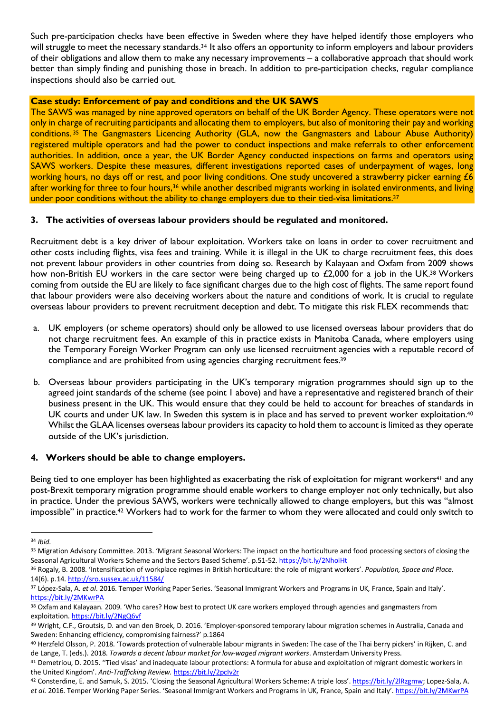Such pre-participation checks have been effective in Sweden where they have helped identify those employers who will struggle to meet the necessary standards.<sup>34</sup> It also offers an opportunity to inform employers and labour providers of their obligations and allow them to make any necessary improvements – a collaborative approach that should work better than simply finding and punishing those in breach. In addition to pre-participation checks, regular compliance inspections should also be carried out.

#### **Case study: Enforcement of pay and conditions and the UK SAWS**

The SAWS was managed by nine approved operators on behalf of the UK Border Agency. These operators were not only in charge of recruiting participants and allocating them to employers, but also of monitoring their pay and working conditions. <sup>35</sup> The Gangmasters Licencing Authority (GLA, now the Gangmasters and Labour Abuse Authority) registered multiple operators and had the power to conduct inspections and make referrals to other enforcement authorities. In addition, once a year, the UK Border Agency conducted inspections on farms and operators using SAWS workers. Despite these measures, different investigations reported cases of underpayment of wages, long working hours, no days off or rest, and poor living conditions. One study uncovered a strawberry picker earning £6 after working for three to four hours,<sup>36</sup> while another described migrants working in isolated environments, and living under poor conditions without the ability to change employers due to their tied-visa limitations.<sup>37</sup>

#### **3. The activities of overseas labour providers should be regulated and monitored.**

Recruitment debt is a key driver of labour exploitation. Workers take on loans in order to cover recruitment and other costs including flights, visa fees and training. While it is illegal in the UK to charge recruitment fees, this does not prevent labour providers in other countries from doing so. Research by Kalayaan and Oxfam from 2009 shows how non-British EU workers in the care sector were being charged up to £2,000 for a job in the UK.<sup>38</sup> Workers coming from outside the EU are likely to face significant charges due to the high cost of flights. The same report found that labour providers were also deceiving workers about the nature and conditions of work. It is crucial to regulate overseas labour providers to prevent recruitment deception and debt. To mitigate this risk FLEX recommends that:

- a. UK employers (or scheme operators) should only be allowed to use licensed overseas labour providers that do not charge recruitment fees. An example of this in practice exists in Manitoba Canada, where employers using the Temporary Foreign Worker Program can only use licensed recruitment agencies with a reputable record of compliance and are prohibited from using agencies charging recruitment fees.<sup>39</sup>
- b. Overseas labour providers participating in the UK's temporary migration programmes should sign up to the agreed joint standards of the scheme (see point 1 above) and have a representative and registered branch of their business present in the UK. This would ensure that they could be held to account for breaches of standards in UK courts and under UK law. In Sweden this system is in place and has served to prevent worker exploitation.<sup>40</sup> Whilst the GLAA licenses overseas labour providers its capacity to hold them to account is limited as they operate outside of the UK's jurisdiction.

#### **4. Workers should be able to change employers.**

Being tied to one employer has been highlighted as exacerbating the risk of exploitation for migrant workers<sup>41</sup> and any post-Brexit temporary migration programme should enable workers to change employer not only technically, but also in practice. Under the previous SAWS, workers were technically allowed to change employers, but this was "almost impossible" in practice.42 Workers had to work for the farmer to whom they were allocated and could only switch to

<sup>34</sup> *Ibid.*

<sup>&</sup>lt;sup>35</sup> Migration Advisory Committee. 2013. 'Migrant Seasonal Workers: The impact on the horticulture and food processing sectors of closing the Seasonal Agricultural Workers Scheme and the Sectors Based Scheme'. p.51-52. https://bit.ly/2NhoiHt

<sup>36</sup> Rogaly, B. 2008. 'Intensification of workplace regimes in British horticulture: the role of migrant workers'. *Population, Space and Place*. 14(6). p.14. http://sro.sussex.ac.uk/11584/

<sup>37</sup> López-Sala, A. *et al*. 2016. Temper Working Paper Series. 'Seasonal Immigrant Workers and Programs in UK, France, Spain and Italy'. https://bit.ly/2MKwrPA

<sup>38</sup> Oxfam and Kalayaan. 2009. 'Who cares? How best to protect UK care workers employed through agencies and gangmasters from exploitation. https://bit.ly/2NgQ6vf

<sup>39</sup> Wright, C.F., Groutsis, D. and van den Broek, D. 2016. 'Employer-sponsored temporary labour migration schemes in Australia, Canada and Sweden: Enhancing efficiency, compromising fairness?' p.1864

<sup>40</sup> Herzfeld Olsson, P. 2018. 'Towards protection of vulnerable labour migrants in Sweden: The case of the Thai berry pickers' in Rijken, C. and de Lange, T. (eds.). 2018. *Towards a decent labour market for low-waged migrant workers*. Amsterdam University Press.

<sup>41</sup> Demetriou, D. 2015. "Tied visas' and inadequate labour protections: A formula for abuse and exploitation of migrant domestic workers in the United Kingdom'. *Anti-Trafficking Review.* https://bit.ly/2pcIv2r

<sup>42</sup> Consterdine, E. and Samuk, S. 2015. 'Closing the Seasonal Agricultural Workers Scheme: A triple loss'. https://bit.ly/2lRzgmw; Lopez-Sala, A. *et al*. 2016. Temper Working Paper Series. 'Seasonal Immigrant Workers and Programs in UK, France, Spain and Italy'. https://bit.ly/2MKwrPA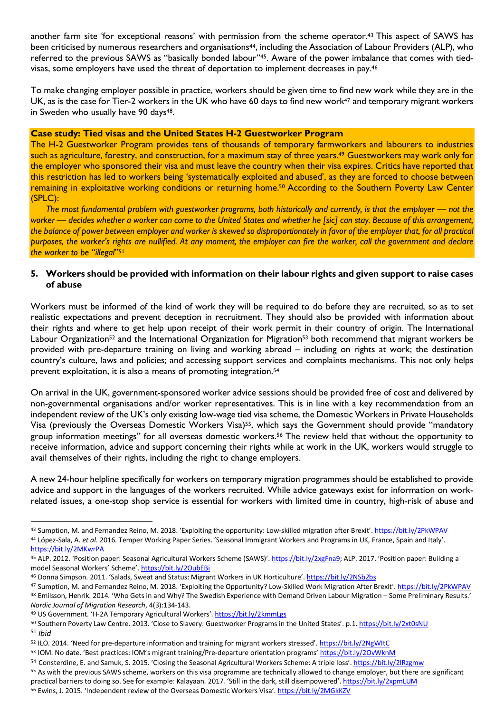another farm site 'for exceptional reasons' with permission from the scheme operator.43 This aspect of SAWS has been criticised by numerous researchers and organisations<sup>44</sup>, including the Association of Labour Providers (ALP), who referred to the previous SAWS as "basically bonded labour"45. Aware of the power imbalance that comes with tiedvisas, some employers have used the threat of deportation to implement decreases in pay.46

To make changing employer possible in practice, workers should be given time to find new work while they are in the UK, as is the case for Tier-2 workers in the UK who have 60 days to find new work<sup>47</sup> and temporary migrant workers in Sweden who usually have 90 days<sup>48</sup>.

#### **Case study: Tied visas and the United States H-2 Guestworker Program**

The H-2 Guestworker Program provides tens of thousands of temporary farmworkers and labourers to industries such as agriculture, forestry, and construction, for a maximum stay of three years.49 Guestworkers may work only for the employer who sponsored their visa and must leave the country when their visa expires. Critics have reported that this restriction has led to workers being 'systematically exploited and abused', as they are forced to choose between remaining in exploitative working conditions or returning home.50 According to the Southern Poverty Law Center (SPLC):

*The most fundamental problem with guestworker programs, both historically and currently, is that the employer — not the worker — decides whether a worker can come to the United States and whether he [sic] can stay. Because of this arrangement, the balance of power between employer and worker is skewed so disproportionately in favor of the employer that, for all practical purposes, the worker's rights are nullified. At any moment, the employer can fire the worker, call the government and declare the worker to be "illegal*"51

#### **5. Workers should be provided with information on their labour rights and given support to raise cases of abuse**

Workers must be informed of the kind of work they will be required to do before they are recruited, so as to set realistic expectations and prevent deception in recruitment. They should also be provided with information about their rights and where to get help upon receipt of their work permit in their country of origin. The International Labour Organization<sup>52</sup> and the International Organization for Migration<sup>53</sup> both recommend that migrant workers be provided with pre-departure training on living and working abroad – including on rights at work; the destination country's culture, laws and policies; and accessing support services and complaints mechanisms. This not only helps prevent exploitation, it is also a means of promoting integration.54

On arrival in the UK, government-sponsored worker advice sessions should be provided free of cost and delivered by non-governmental organisations and/or worker representatives. This is in line with a key recommendation from an independent review of the UK's only existing low-wage tied visa scheme, the Domestic Workers in Private Households Visa (previously the Overseas Domestic Workers Visa)55, which says the Government should provide "mandatory group information meetings" for all overseas domestic workers.56 The review held that without the opportunity to receive information, advice and support concerning their rights while at work in the UK, workers would struggle to avail themselves of their rights, including the right to change employers.

A new 24-hour helpline specifically for workers on temporary migration programmes should be established to provide advice and support in the languages of the workers recruited. While advice gateways exist for information on workrelated issues, a one-stop shop service is essential for workers with limited time in country, high-risk of abuse and

<sup>49</sup> US Government. 'H-2A Temporary Agricultural Workers'. https://bit.ly/2kmmLgs

<sup>43</sup> Sumption, M. and Fernandez Reino, M. 2018. 'Exploiting the opportunity: Low-skilled migration after Brexit'. https://bit.ly/2PkWPAV <sup>44</sup> López-Sala, A. *et al*. 2016. Temper Working Paper Series. 'Seasonal Immigrant Workers and Programs in UK, France, Spain and Italy'. https://bit.ly/2MKwrPA

<sup>45</sup> ALP. 2012. 'Position paper: Seasonal Agricultural Workers Scheme (SAWS)'. https://bit.ly/2xgFna9; ALP. 2017. 'Position paper: Building a model Seasonal Workers' Scheme'. https://bit.ly/2OubEBi

<sup>46</sup> Donna Simpson. 2011. 'Salads, Sweat and Status: Migrant Workers in UK Horticulture'. https://bit.ly/2NSb2bs

<sup>47</sup> Sumption, M. and Fernandez Reino, M. 2018. 'Exploiting the Opportunity? Low-Skilled Work Migration After Brexit'. https://bit.ly/2PkWPAV <sup>48</sup> Emilsson, Henrik. 2014. 'Who Gets in and Why? The Swedish Experience with Demand Driven Labour Migration – Some Preliminary Results.' *Nordic Journal of Migration Research*, 4(3):134-143.

<sup>50</sup> Southern Poverty Law Centre. 2013. 'Close to Slavery: Guestworker Programs in the United States'. p.1. https://bit.ly/2xt0sNU <sup>51</sup> *Ibid*

<sup>52</sup> ILO. 2014. 'Need for pre-departure information and training for migrant workers stressed'. https://bit.ly/2NgWItC

<sup>53</sup> IOM. No date. 'Best practices: IOM's migrant training/Pre-departure orientation programs' https://bit.ly/2OvWknM

<sup>54</sup> Consterdine, E. and Samuk, S. 2015. 'Closing the Seasonal Agricultural Workers Scheme: A triple loss'. https://bit.ly/2lRzgmw

<sup>55</sup> As with the previous SAWS scheme, workers on this visa programme are technically allowed to change employer, but there are significant practical barriers to doing so. See for example: Kalayaan. 2017. 'Still in the dark, still disempowered'. https://bit.ly/2xpmLUM

<sup>56</sup> Ewins, J. 2015. 'Independent review of the Overseas Domestic Workers Visa'. https://bit.ly/2MGkKZV